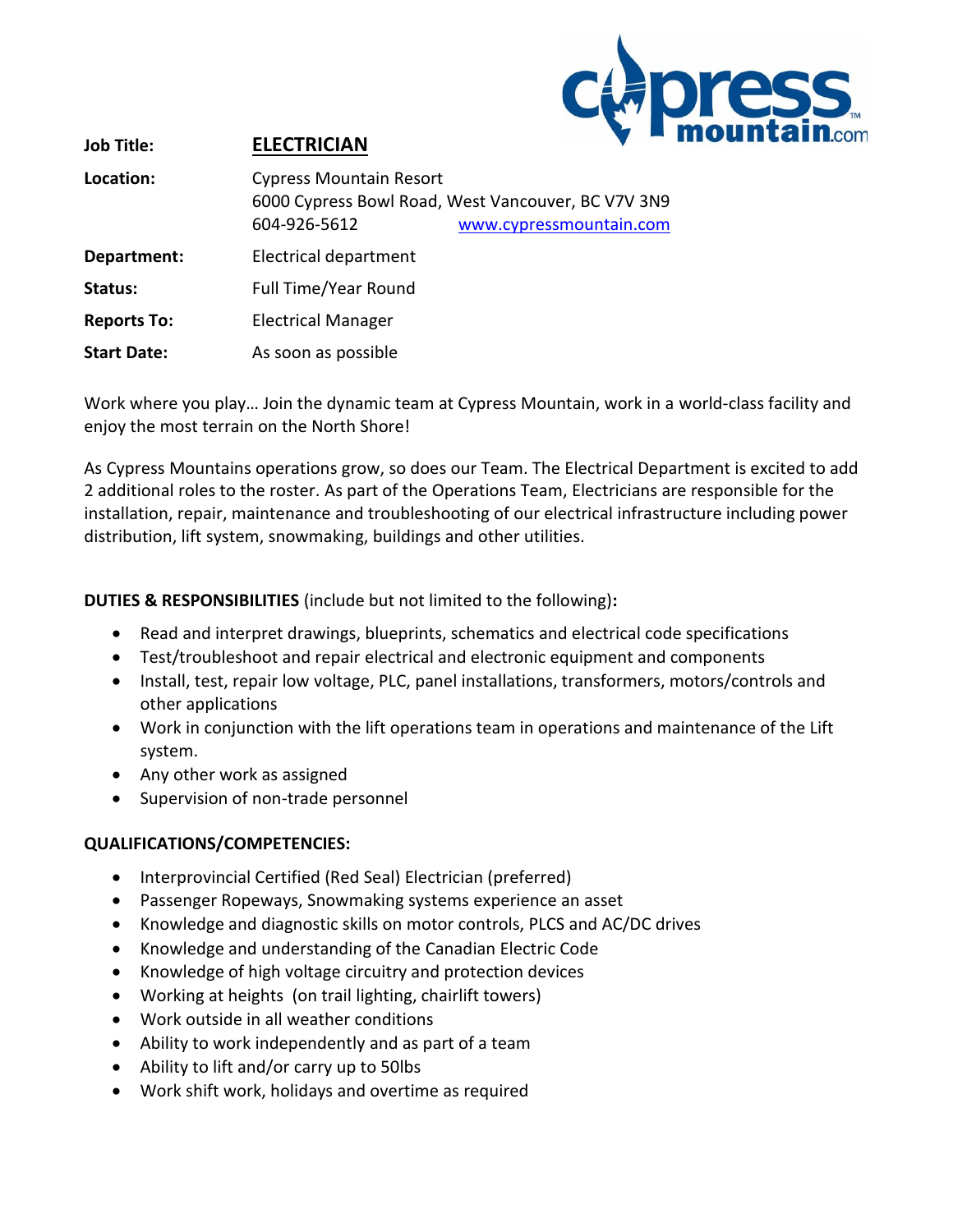

| <b>Job Title:</b>  | <b>ELECTRICIAN</b>                             |                                                                               |
|--------------------|------------------------------------------------|-------------------------------------------------------------------------------|
| Location:          | <b>Cypress Mountain Resort</b><br>604-926-5612 | 6000 Cypress Bowl Road, West Vancouver, BC V7V 3N9<br>www.cypressmountain.com |
| Department:        | Electrical department                          |                                                                               |
| Status:            | <b>Full Time/Year Round</b>                    |                                                                               |
| <b>Reports To:</b> | <b>Electrical Manager</b>                      |                                                                               |
| <b>Start Date:</b> | As soon as possible                            |                                                                               |

Work where you play… Join the dynamic team at Cypress Mountain, work in a world-class facility and enjoy the most terrain on the North Shore!

As Cypress Mountains operations grow, so does our Team. The Electrical Department is excited to add 2 additional roles to the roster. As part of the Operations Team, Electricians are responsible for the installation, repair, maintenance and troubleshooting of our electrical infrastructure including power distribution, lift system, snowmaking, buildings and other utilities.

**DUTIES & RESPONSIBILITIES** (include but not limited to the following)**:**

- Read and interpret drawings, blueprints, schematics and electrical code specifications
- Test/troubleshoot and repair electrical and electronic equipment and components
- Install, test, repair low voltage, PLC, panel installations, transformers, motors/controls and other applications
- Work in conjunction with the lift operations team in operations and maintenance of the Lift system.
- Any other work as assigned
- Supervision of non-trade personnel

## **QUALIFICATIONS/COMPETENCIES:**

- Interprovincial Certified (Red Seal) Electrician (preferred)
- Passenger Ropeways, Snowmaking systems experience an asset
- Knowledge and diagnostic skills on motor controls, PLCS and AC/DC drives
- Knowledge and understanding of the Canadian Electric Code
- Knowledge of high voltage circuitry and protection devices
- Working at heights (on trail lighting, chairlift towers)
- Work outside in all weather conditions
- Ability to work independently and as part of a team
- Ability to lift and/or carry up to 50lbs
- Work shift work, holidays and overtime as required